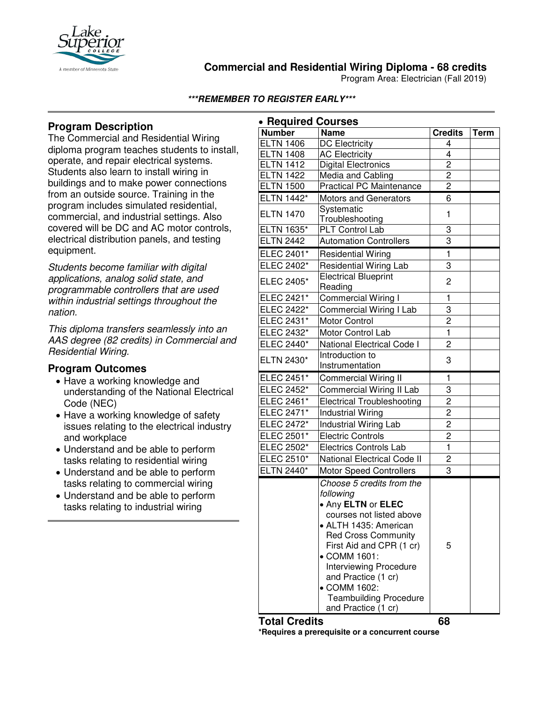

### **Commercial and Residential Wiring Diploma - 68 credits**

Program Area: Electrician (Fall 2019)

#### **\*\*\*REMEMBER TO REGISTER EARLY\*\*\***

# **Program Description**

The Commercial and Residential Wiring diploma program teaches students to install, operate, and repair electrical systems. Students also learn to install wiring in buildings and to make power connections from an outside source. Training in the program includes simulated residential, commercial, and industrial settings. Also covered will be DC and AC motor controls, electrical distribution panels, and testing equipment.

*Students become familiar with digital applications, analog solid state, and programmable controllers that are used within industrial settings throughout the nation.*

*This diploma transfers seamlessly into an AAS degree (82 credits) in Commercial and Residential Wiring.*

### **Program Outcomes**

- Have a working knowledge and understanding of the National Electrical Code (NEC)
- Have a working knowledge of safety issues relating to the electrical industry and workplace
- Understand and be able to perform tasks relating to residential wiring
- Understand and be able to perform tasks relating to commercial wiring
- Understand and be able to perform tasks relating to industrial wiring

| • Required Courses |                                                                                                                                                                                                                                                                            |                |             |
|--------------------|----------------------------------------------------------------------------------------------------------------------------------------------------------------------------------------------------------------------------------------------------------------------------|----------------|-------------|
| <b>Number</b>      | <b>Name</b>                                                                                                                                                                                                                                                                | <b>Credits</b> | <b>Term</b> |
| <b>ELTN 1406</b>   | <b>DC</b> Electricity                                                                                                                                                                                                                                                      | 4              |             |
| <b>ELTN 1408</b>   | <b>AC Electricity</b>                                                                                                                                                                                                                                                      | $\overline{4}$ |             |
| <b>ELTN 1412</b>   | <b>Digital Electronics</b>                                                                                                                                                                                                                                                 | $\overline{2}$ |             |
| <b>ELTN 1422</b>   | Media and Cabling                                                                                                                                                                                                                                                          | $\overline{c}$ |             |
| <b>ELTN 1500</b>   | <b>Practical PC Maintenance</b>                                                                                                                                                                                                                                            | $\overline{2}$ |             |
| ELTN 1442*         | <b>Motors and Generators</b>                                                                                                                                                                                                                                               | 6              |             |
| <b>ELTN 1470</b>   | Systematic                                                                                                                                                                                                                                                                 | 1              |             |
|                    | Troubleshooting                                                                                                                                                                                                                                                            |                |             |
| <b>ELTN 1635*</b>  | PLT Control Lab                                                                                                                                                                                                                                                            | 3              |             |
| <b>ELTN 2442</b>   | <b>Automation Controllers</b>                                                                                                                                                                                                                                              | 3              |             |
| ELEC 2401*         | <b>Residential Wiring</b>                                                                                                                                                                                                                                                  | $\mathbf{1}$   |             |
| ELEC 2402*         | <b>Residential Wiring Lab</b>                                                                                                                                                                                                                                              | 3              |             |
| ELEC 2405*         | <b>Electrical Blueprint</b><br>Reading                                                                                                                                                                                                                                     | 2              |             |
| ELEC 2421*         | Commercial Wiring I                                                                                                                                                                                                                                                        | 1              |             |
| ELEC 2422*         | Commercial Wiring I Lab                                                                                                                                                                                                                                                    | 3              |             |
| ELEC 2431*         | <b>Motor Control</b>                                                                                                                                                                                                                                                       | $\overline{c}$ |             |
| ELEC 2432*         | Motor Control Lab                                                                                                                                                                                                                                                          | $\mathbf{1}$   |             |
| ELEC 2440*         | National Electrical Code I                                                                                                                                                                                                                                                 | 2              |             |
| ELTN 2430*         | Introduction to                                                                                                                                                                                                                                                            |                |             |
|                    | Instrumentation                                                                                                                                                                                                                                                            | 3              |             |
| ELEC 2451*         | <b>Commercial Wiring II</b>                                                                                                                                                                                                                                                | 1              |             |
| ELEC 2452*         | <b>Commercial Wiring II Lab</b>                                                                                                                                                                                                                                            | 3              |             |
| ELEC 2461*         | <b>Electrical Troubleshooting</b>                                                                                                                                                                                                                                          | $\overline{c}$ |             |
| ELEC 2471*         | <b>Industrial Wiring</b>                                                                                                                                                                                                                                                   | $\overline{c}$ |             |
| ELEC 2472*         | Industrial Wiring Lab                                                                                                                                                                                                                                                      | $\overline{c}$ |             |
| ELEC 2501*         | <b>Electric Controls</b>                                                                                                                                                                                                                                                   | $\overline{c}$ |             |
| ELEC 2502*         | <b>Electrics Controls Lab</b>                                                                                                                                                                                                                                              | $\mathbf{1}$   |             |
| ELEC 2510*         | <b>National Electrical Code II</b>                                                                                                                                                                                                                                         | 2              |             |
| ELTN 2440*         | <b>Motor Speed Controllers</b>                                                                                                                                                                                                                                             | 3              |             |
|                    | Choose 5 credits from the<br>following                                                                                                                                                                                                                                     |                |             |
|                    | . Any ELTN or ELEC<br>courses not listed above<br>• ALTH 1435: American<br><b>Red Cross Community</b><br>First Aid and CPR (1 cr)<br>● COMM 1601:<br>Interviewing Procedure<br>and Practice (1 cr)<br>• COMM 1602:<br><b>Teambuilding Procedure</b><br>and Practice (1 cr) | 5              |             |

#### **Total Credits 68**

**\*Requires a prerequisite or a concurrent course**